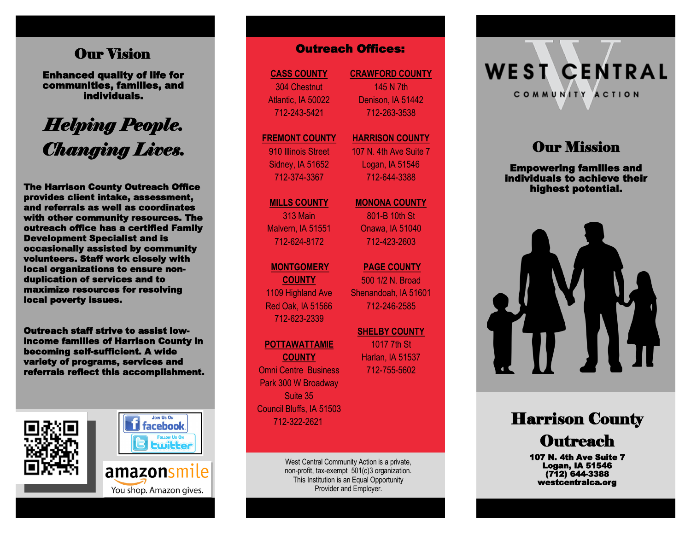# Our Vision

Enhanced quality of life for communities, families, and individuals.

# *Helping People. Changing Lives.*

The Harrison County Outreach Office provides client intake, assessment, and referrals as well as coordinates with other community resources. The outreach office has a certified Family Development Specialist and is occasionally assisted by community volunteers. Staff work closely with local organizations to ensure nonduplication of services and to maximize resources for resolving local poverty issues.

Outreach staff strive to assist lowincome families of Harrison County in becoming self-sufficient. A wide variety of programs, services and referrals reflect this accomplishment.





You shop. Amazon gives.

**CASS COUNTY** 304 Chestnut Atlantic, IA 50022 712 -243 -5421

#### **FREMONT COUNTY**

910 Illinois Street Sidney, IA 51652 712 -374 -3367

**MILLS COUNTY**

313 Main Malvern, IA 51551 712 -624 -8172

### **MONTGOMERY**

**COUNTY** 1109 Highland Ave Red Oak, IA 51566 712 -623 -2339

### **POTTAWATTAMIE**

**COUNTY** Omni Centre Business Park 300 W Broadway Suite 35 Council Bluffs, IA 51503 712 -322 -2621

> West Central Community Action is a private, non -profit, tax -exempt 501(c)3 organization. This Institution is an Equal Opportunity Provider and Employer.

**CRAWFORD COUNTY** 145 N 7th Denison, IA 51442 712 -263 -3538 **COUNTY CRAWFORD COUNTY**<br>
Chestnut 145 N 7th<br>
145 N 7th<br>
145 N 7th<br>
145 N 7th<br>
145 N 7th<br>
145 N 7th<br>
145 N 7th<br>
145 N 7th<br>
145 N 7th<br>
172-263-3538<br>
NT COUNTY MARRISON COUI<br>
107 N. 4th Ave Su<br>
107 N. 4th Ave Su<br>
107 N. 4th

### **HARRISON COUNTY** 107 N. 4th Ave Suite 7

Logan, IA 51546 712 -644 -3388

### **MONONA COUNTY**

801 -B 10th St Onawa, IA 51040 712 -423 -2603

**PAGE COUNTY**  500 1/2 N. Broad Shenandoah, IA 51601 712 -246 -2585

**SHELBY COUNTY**  1017 7th St

Harlan, IA 51537 712 -755

# **WEST CENTRAL** COMMUNITY ACTION

# **Our Mission**

Empowering families and individuals to achieve their highest potential.



# Harrison County **Outreach**

107 N. 4th Ave Suite 7 Logan, IA 51546 (712) 644-3388 westcentralca.org